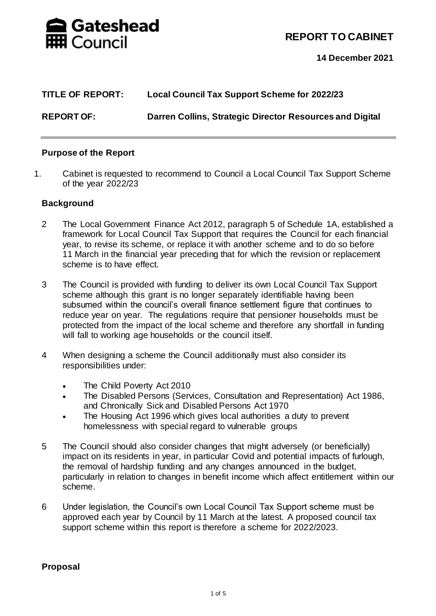

**REPORT TO CABINET**

**14 December 2021**

| <b>TITLE OF REPORT:</b> | Local Council Tax Support Scheme for 2022/23             |
|-------------------------|----------------------------------------------------------|
| <b>REPORT OF:</b>       | Darren Collins, Strategic Director Resources and Digital |

### **Purpose of the Report**

1. Cabinet is requested to recommend to Council a Local Council Tax Support Scheme of the year 2022/23

#### **Background**

- 2 The Local Government Finance Act 2012, paragraph 5 of Schedule 1A, established a framework for Local Council Tax Support that requires the Council for each financial year, to revise its scheme, or replace it with another scheme and to do so before 11 March in the financial year preceding that for which the revision or replacement scheme is to have effect.
- 3 The Council is provided with funding to deliver its own Local Council Tax Support scheme although this grant is no longer separately identifiable having been subsumed within the council's overall finance settlement figure that continues to reduce year on year. The regulations require that pensioner households must be protected from the impact of the local scheme and therefore any shortfall in funding will fall to working age households or the council itself.
- 4 When designing a scheme the Council additionally must also consider its responsibilities under:
	- The Child Poverty Act 2010
	- The Disabled Persons (Services, Consultation and Representation) Act 1986, and Chronically Sick and Disabled Persons Act 1970
	- The Housing Act 1996 which gives local authorities a duty to prevent homelessness with special regard to vulnerable groups
- 5 The Council should also consider changes that might adversely (or beneficially) impact on its residents in year, in particular Covid and potential impacts of furlough, the removal of hardship funding and any changes announced in the budget, particularly in relation to changes in benefit income which affect entitlement within our scheme.
- 6 Under legislation, the Council's own Local Council Tax Support scheme must be approved each year by Council by 11 March at the latest. A proposed council tax support scheme within this report is therefore a scheme for 2022/2023.

### **Proposal**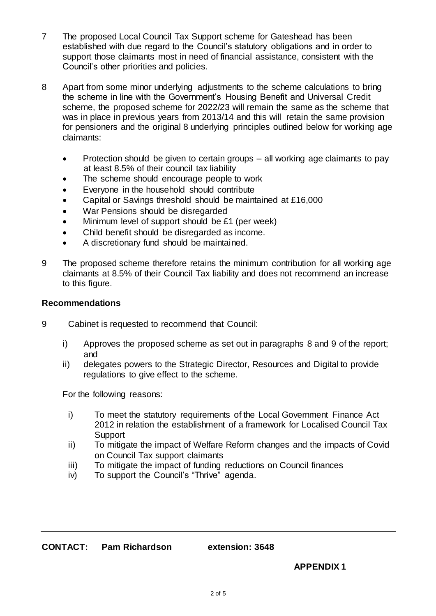- 7 The proposed Local Council Tax Support scheme for Gateshead has been established with due regard to the Council's statutory obligations and in order to support those claimants most in need of financial assistance, consistent with the Council's other priorities and policies.
- 8 Apart from some minor underlying adjustments to the scheme calculations to bring the scheme in line with the Government's Housing Benefit and Universal Credit scheme, the proposed scheme for 2022/23 will remain the same as the scheme that was in place in previous years from 2013/14 and this will retain the same provision for pensioners and the original 8 underlying principles outlined below for working age claimants:
	- Protection should be given to certain groups all working age claimants to pay at least 8.5% of their council tax liability
	- The scheme should encourage people to work
	- Everyone in the household should contribute
	- Capital or Savings threshold should be maintained at £16,000
	- War Pensions should be disregarded
	- Minimum level of support should be £1 (per week)
	- Child benefit should be disregarded as income.
	- A discretionary fund should be maintained.
- 9 The proposed scheme therefore retains the minimum contribution for all working age claimants at 8.5% of their Council Tax liability and does not recommend an increase to this figure.

#### **Recommendations**

- 9 Cabinet is requested to recommend that Council:
	- i) Approves the proposed scheme as set out in paragraphs 8 and 9 of the report; and
	- ii) delegates powers to the Strategic Director, Resources and Digital to provide regulations to give effect to the scheme.

For the following reasons:

- i) To meet the statutory requirements of the Local Government Finance Act 2012 in relation the establishment of a framework for Localised Council Tax **Support**
- ii) To mitigate the impact of Welfare Reform changes and the impacts of Covid on Council Tax support claimants
- iii) To mitigate the impact of funding reductions on Council finances
- iv) To support the Council's "Thrive" agenda.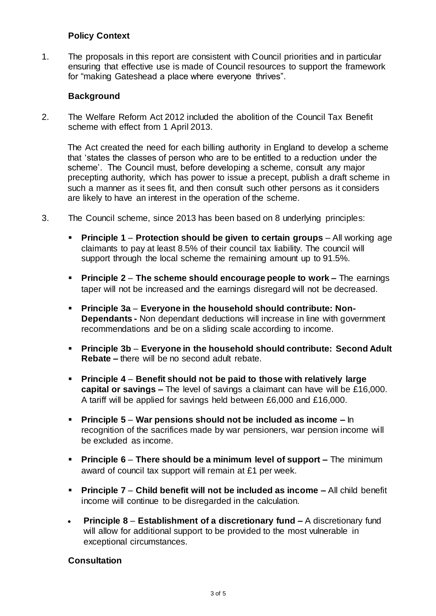## **Policy Context**

1. The proposals in this report are consistent with Council priorities and in particular ensuring that effective use is made of Council resources to support the framework for "making Gateshead a place where everyone thrives".

## **Background**

2. The Welfare Reform Act 2012 included the abolition of the Council Tax Benefit scheme with effect from 1 April 2013.

The Act created the need for each billing authority in England to develop a scheme that 'states the classes of person who are to be entitled to a reduction under the scheme'. The Council must, before developing a scheme, consult any major precepting authority, which has power to issue a precept, publish a draft scheme in such a manner as it sees fit, and then consult such other persons as it considers are likely to have an interest in the operation of the scheme.

- 3. The Council scheme, since 2013 has been based on 8 underlying principles:
	- **Principle 1 Protection should be given to certain groups** All working age claimants to pay at least 8.5% of their council tax liability. The council will support through the local scheme the remaining amount up to 91.5%.
	- **Principle 2 The scheme should encourage people to work –** The earnings taper will not be increased and the earnings disregard will not be decreased.
	- **Principle 3a Everyone in the household should contribute: Non-Dependants -** Non dependant deductions will increase in line with government recommendations and be on a sliding scale according to income.
	- **Principle 3b Everyone in the household should contribute: Second Adult Rebate –** there will be no second adult rebate.
	- **Principle 4 Benefit should not be paid to those with relatively large capital or savings –** The level of savings a claimant can have will be £16,000. A tariff will be applied for savings held between £6,000 and £16,000.
	- **Principle 5 War pensions should not be included as income –** In recognition of the sacrifices made by war pensioners, war pension income will be excluded as income.
	- **Principle 6 There should be a minimum level of support –** The minimum award of council tax support will remain at £1 per week.
	- **Principle 7 Child benefit will not be included as income –** All child benefit income will continue to be disregarded in the calculation.
	- **Principle 8 Establishment of a discretionary fund –** A discretionary fund will allow for additional support to be provided to the most vulnerable in exceptional circumstances.

### **Consultation**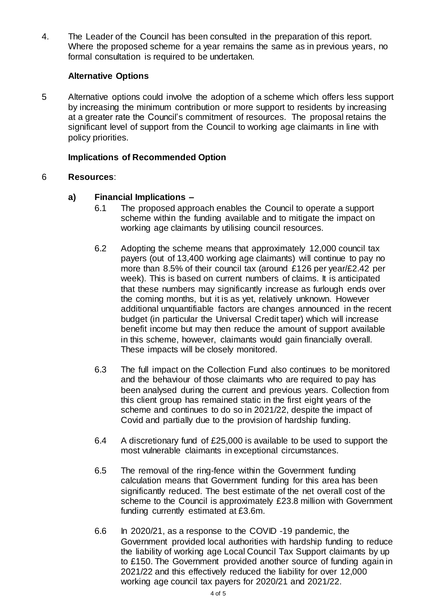4. The Leader of the Council has been consulted in the preparation of this report. Where the proposed scheme for a year remains the same as in previous years, no formal consultation is required to be undertaken.

## **Alternative Options**

5 Alternative options could involve the adoption of a scheme which offers less support by increasing the minimum contribution or more support to residents by increasing at a greater rate the Council's commitment of resources. The proposal retains the significant level of support from the Council to working age claimants in line with policy priorities.

## **Implications of Recommended Option**

### 6 **Resources**:

# **a) Financial Implications –**

- 6.1 The proposed approach enables the Council to operate a support scheme within the funding available and to mitigate the impact on working age claimants by utilising council resources.
- 6.2 Adopting the scheme means that approximately 12,000 council tax payers (out of 13,400 working age claimants) will continue to pay no more than 8.5% of their council tax (around £126 per year/£2.42 per week). This is based on current numbers of claims. It is anticipated that these numbers may significantly increase as furlough ends over the coming months, but it is as yet, relatively unknown. However additional unquantifiable factors are changes announced in the recent budget (in particular the Universal Credit taper) which will increase benefit income but may then reduce the amount of support available in this scheme, however, claimants would gain financially overall. These impacts will be closely monitored.
- 6.3 The full impact on the Collection Fund also continues to be monitored and the behaviour of those claimants who are required to pay has been analysed during the current and previous years. Collection from this client group has remained static in the first eight years of the scheme and continues to do so in 2021/22, despite the impact of Covid and partially due to the provision of hardship funding.
- 6.4 A discretionary fund of £25,000 is available to be used to support the most vulnerable claimants in exceptional circumstances.
- 6.5 The removal of the ring-fence within the Government funding calculation means that Government funding for this area has been significantly reduced. The best estimate of the net overall cost of the scheme to the Council is approximately £23.8 million with Government funding currently estimated at £3.6m.
- 6.6 In 2020/21, as a response to the COVID -19 pandemic, the Government provided local authorities with hardship funding to reduce the liability of working age Local Council Tax Support claimants by up to £150. The Government provided another source of funding again in 2021/22 and this effectively reduced the liability for over 12,000 working age council tax payers for 2020/21 and 2021/22.